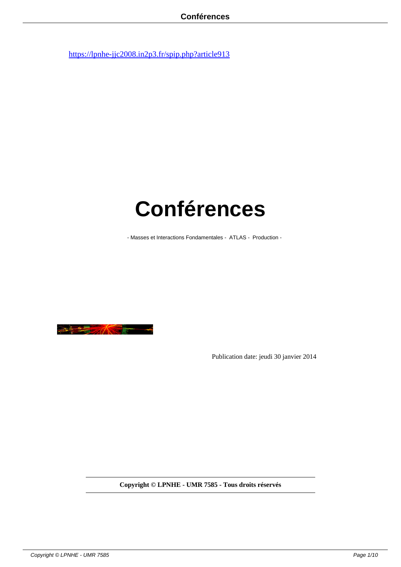# **Conférences**

- Masses et Interactions Fondamentales - ATLAS - Production -



Publication date: jeudi 30 janvier 2014

**Copyright © LPNHE - UMR 7585 - Tous droits réservés**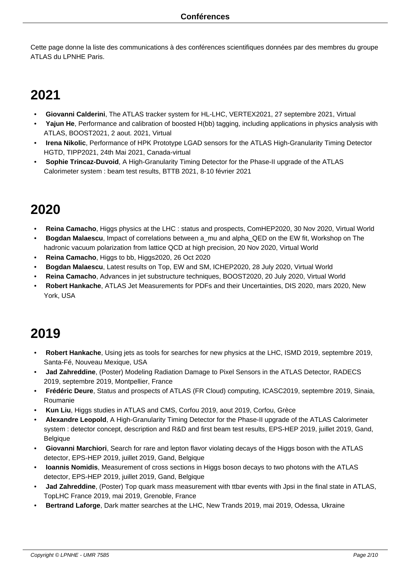Cette page donne la liste des communications à des conférences scientifiques données par des membres du groupe ATLAS du LPNHE Paris.

## **2021**

- • **Giovanni Calderini**, The ATLAS tracker system for HL-LHC, VERTEX2021, 27 septembre 2021, Virtual
- • **Yajun He**, Performance and calibration of boosted H(bb) tagging, including applications in physics analysis with ATLAS, BOOST2021, 2 aout. 2021, Virtual
- • **Irena Nikolic**, Performance of HPK Prototype LGAD sensors for the ATLAS High-Granularity Timing Detector HGTD, TIPP2021, 24th Mai 2021, Canada-virtual
- • **Sophie Trincaz-Duvoid**, A High-Granularity Timing Detector for the Phase-II upgrade of the ATLAS Calorimeter system : beam test results, BTTB 2021, 8-10 février 2021

#### **2020**

- • **Reina Camacho**, Higgs physics at the LHC : status and prospects, ComHEP2020, 30 Nov 2020, Virtual World
- • **Bogdan Malaescu**, Impact of correlations between a\_mu and alpha\_QED on the EW fit, Workshop on The hadronic vacuum polarization from lattice QCD at high precision, 20 Nov 2020, Virtual World
- • **Reina Camacho**, Higgs to bb, Higgs2020, 26 Oct 2020
- • **Bogdan Malaescu**, Latest results on Top, EW and SM, ICHEP2020, 28 July 2020, Virtual World
- • **Reina Camacho**, Advances in jet substructure techniques, BOOST2020, 20 July 2020, Virtual World
- • **Robert Hankache**, ATLAS Jet Measurements for PDFs and their Uncertainties, DIS 2020, mars 2020, New York, USA

- • **Robert Hankache**, Using jets as tools for searches for new physics at the LHC, ISMD 2019, septembre 2019, Santa-Fé, Nouveau Mexique, USA
- • **Jad Zahreddine**, (Poster) Modeling Radiation Damage to Pixel Sensors in the ATLAS Detector, RADECS 2019, septembre 2019, Montpellier, France
- • **Frédéric Deure**, Status and prospects of ATLAS (FR Cloud) computing, ICASC2019, septembre 2019, Sinaia, Roumanie
- • **Kun Liu**, Higgs studies in ATLAS and CMS, Corfou 2019, aout 2019, Corfou, Grèce
- • **Alexandre Leopold**, A High-Granularity Timing Detector for the Phase-II upgrade of the ATLAS Calorimeter system : detector concept, description and R&D and first beam test results, EPS-HEP 2019, juillet 2019, Gand, Belgique
- • **Giovanni Marchiori**, Search for rare and lepton flavor violating decays of the Higgs boson with the ATLAS detector, EPS-HEP 2019, juillet 2019, Gand, Belgique
- • **Ioannis Nomidis**, Measurement of cross sections in Higgs boson decays to two photons with the ATLAS detector, EPS-HEP 2019, juillet 2019, Gand, Belgique
- **Jad Zahreddine**, (Poster) Top quark mass measurement with ttbar events with Jpsi in the final state in ATLAS, TopLHC France 2019, mai 2019, Grenoble, France
- • **Bertrand Laforge**, Dark matter searches at the LHC, New Trands 2019, mai 2019, Odessa, Ukraine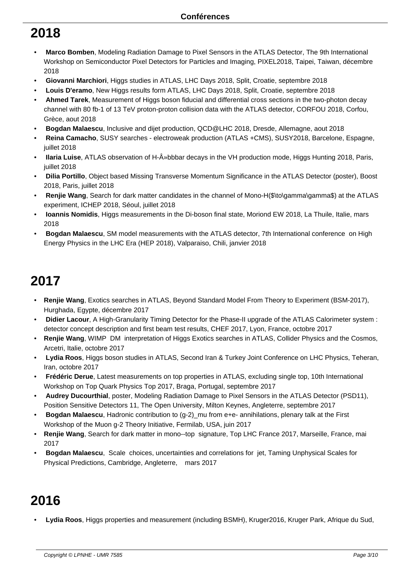- • **Marco Bomben**, Modeling Radiation Damage to Pixel Sensors in the ATLAS Detector, The 9th International Workshop on Semiconductor Pixel Detectors for Particles and Imaging, PIXEL2018, Taipei, Taiwan, décembre 2018
- • **Giovanni Marchiori**, Higgs studies in ATLAS, LHC Days 2018, Split, Croatie, septembre 2018
- • **Louis D'eramo**, New Higgs results form ATLAS, LHC Days 2018, Split, Croatie, septembre 2018
- • **Ahmed Tarek**, Measurement of Higgs boson fiducial and differential cross sections in the two-photon decay channel with 80 fb-1 of 13 TeV proton-proton collision data with the ATLAS detector, CORFOU 2018, Corfou, Grèce, aout 2018
- • **Bogdan Malaescu**, Inclusive and dijet production, QCD@LHC 2018, Dresde, Allemagne, aout 2018
- • **Reina Camacho**, SUSY searches electroweak production (ATLAS +CMS), SUSY2018, Barcelone, Espagne, juillet 2018
- **Ilaria Luise**, ATLAS observation of H-»bbbar decays in the VH production mode, Higgs Hunting 2018, Paris, juillet 2018
- • **Dilia Portillo**, Object based Missing Transverse Momentum Significance in the ATLAS Detector (poster), Boost 2018, Paris, juillet 2018
- **Renjie Wang**, Search for dark matter candidates in the channel of Mono-H(\$\to\gamma\gamma\$) at the ATLAS experiment, ICHEP 2018, Séoul, juillet 2018
- • **Ioannis Nomidis**, Higgs measurements in the Di-boson final state, Moriond EW 2018, La Thuile, Italie, mars 2018
- • **Bogdan Malaescu**, SM model measurements with the ATLAS detector, 7th International conference on High Energy Physics in the LHC Era (HEP 2018), Valparaiso, Chili, janvier 2018

#### **2017**

- **Renjie Wang**, Exotics searches in ATLAS, Beyond Standard Model From Theory to Experiment (BSM-2017), Hurghada, Egypte, décembre 2017
- • **Didier Lacour**, A High-Granularity Timing Detector for the Phase-II upgrade of the ATLAS Calorimeter system : detector concept description and first beam test results, CHEF 2017, Lyon, France, octobre 2017
- **Renjie Wang**, WIMP DM interpretation of Higgs Exotics searches in ATLAS, Collider Physics and the Cosmos, Arcetri, Italie, octobre 2017
- • **Lydia Roos**, Higgs boson studies in ATLAS, Second Iran & Turkey Joint Conference on LHC Physics, Teheran, Iran, octobre 2017
- • **Frédéric Derue**, Latest measurements on top properties in ATLAS, excluding single top, 10th International Workshop on Top Quark Physics Top 2017, Braga, Portugal, septembre 2017
- • **Audrey Ducourthial**, poster, Modeling Radiation Damage to Pixel Sensors in the ATLAS Detector (PSD11), Position Sensitive Detectors 11, The Open University, Milton Keynes, Angleterre, septembre 2017
- • **Bogdan Malaescu**, Hadronic contribution to (g-2)\_mu from e+e- annihilations, plenary talk at the First Workshop of the Muon g-2 Theory Initiative, Fermilab, USA, juin 2017
- **Renjie Wang**, Search for dark matter in mono-top signature, Top LHC France 2017, Marseille, France, mai 2017
- • **Bogdan Malaescu**, Scale choices, uncertainties and correlations for jet, Taming Unphysical Scales for Physical Predictions, Cambridge, Angleterre, mars 2017

## **2016**

• **Lydia Roos**, Higgs properties and measurement (including BSMH), Kruger2016, Kruger Park, Afrique du Sud,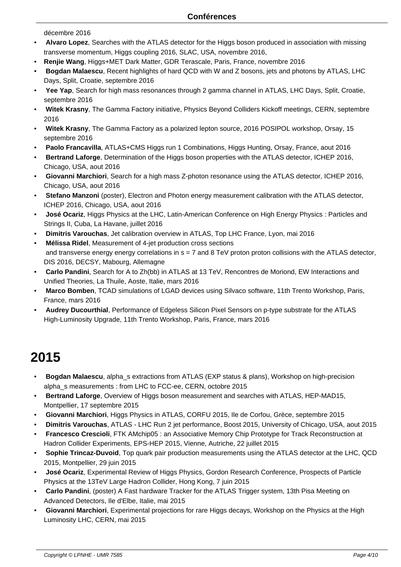- décembre 2016
- • **Alvaro Lopez**, Searches with the ATLAS detector for the Higgs boson produced in association with missing transverse momentum, Higgs coupling 2016, SLAC, USA, novembre 2016,
- **Renjie Wang**, Higgs+MET Dark Matter, GDR Terascale, Paris, France, novembre 2016
- • **Bogdan Malaescu**, Recent highlights of hard QCD with W and Z bosons, jets and photons by ATLAS, LHC Days, Split, Croatie, septembre 2016
- • **Yee Yap**, Search for high mass resonances through 2 gamma channel in ATLAS, LHC Days, Split, Croatie, septembre 2016
- • **Witek Krasny**, The Gamma Factory initiative, Physics Beyond Colliders Kickoff meetings, CERN, septembre 2016
- • **Witek Krasny**, The Gamma Factory as a polarized lepton source, 2016 POSIPOL workshop, Orsay, 15 septembre 2016
- • **Paolo Francavilla**, ATLAS+CMS Higgs run 1 Combinations, Higgs Hunting, Orsay, France, aout 2016
- • **Bertrand Laforge**, Determination of the Higgs boson properties with the ATLAS detector, ICHEP 2016, Chicago, USA, aout 2016
- • **Giovanni Marchiori**, Search for a high mass Z-photon resonance using the ATLAS detector, ICHEP 2016, Chicago, USA, aout 2016
- • **Stefano Manzoni** (poster), Electron and Photon energy measurement calibration with the ATLAS detector, ICHEP 2016, Chicago, USA, aout 2016
- • **José Ocariz**, Higgs Physics at the LHC, Latin-American Conference on High Energy Physics : Particles and Strings II, Cuba, La Havane, juillet 2016
- • **Dimitris Varouchas**, Jet calibration overview in ATLAS, Top LHC France, Lyon, mai 2016
- • **Mélissa Ridel**, Measurement of 4-jet production cross sections and transverse energy energy correlations in  $s = 7$  and  $8$  TeV proton proton collisions with the ATLAS detector, DIS 2016, DECSY, Mabourg, Allemagne
- • **Carlo Pandini**, Search for A to Zh(bb) in ATLAS at 13 TeV, Rencontres de Moriond, EW Interactions and Unified Theories, La Thuile, Aoste, Italie, mars 2016
- • **Marco Bomben**, TCAD simulations of LGAD devices using Silvaco software, 11th Trento Workshop, Paris, France, mars 2016
- • **Audrey Ducourthial**, Performance of Edgeless Silicon Pixel Sensors on p-type substrate for the ATLAS High-Luminosity Upgrade, 11th Trento Workshop, Paris, France, mars 2016

- • **Bogdan Malaescu**, alpha\_s extractions from ATLAS (EXP status & plans), Workshop on high-precision alpha\_s measurements : from LHC to FCC-ee, CERN, octobre 2015
- • **Bertrand Laforge**, Overview of Higgs boson measurement and searches with ATLAS, HEP-MAD15, Montpellier, 17 septembre 2015
- • **Giovanni Marchiori**, Higgs Physics in ATLAS, CORFU 2015, Ile de Corfou, Grèce, septembre 2015
- • **Dimitris Varouchas**, ATLAS LHC Run 2 jet performance, Boost 2015, University of Chicago, USA, aout 2015
- • **Francesco Crescioli**, FTK AMchip05 : an Associative Memory Chip Prototype for Track Reconstruction at Hadron Collider Experiments, EPS-HEP 2015, Vienne, Autriche, 22 juillet 2015
- • **Sophie Trincaz-Duvoid**, Top quark pair production measurements using the ATLAS detector at the LHC, QCD 2015, Montpellier, 29 juin 2015
- • **José Ocariz**, Experimental Review of Higgs Physics, Gordon Research Conference, Prospects of Particle Physics at the 13TeV Large Hadron Collider, Hong Kong, 7 juin 2015
- • **Carlo Pandini**, (poster) A Fast hardware Tracker for the ATLAS Trigger system, 13th Pisa Meeting on Advanced Detectors, Ile d'Elbe, Italie, mai 2015
- • **Giovanni Marchiori**, Experimental projections for rare Higgs decays, Workshop on the Physics at the High Luminosity LHC, CERN, mai 2015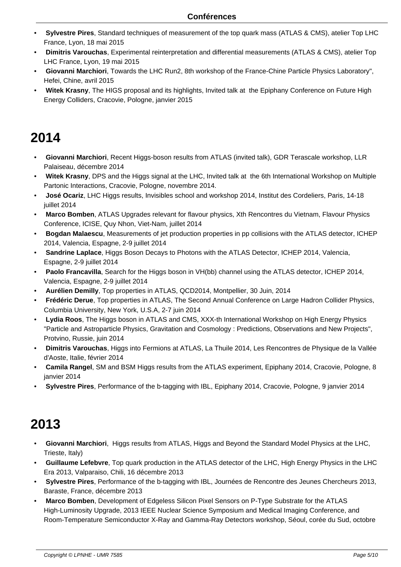- • **Sylvestre Pires**, Standard techniques of measurement of the top quark mass (ATLAS & CMS), atelier Top LHC France, Lyon, 18 mai 2015
- • **Dimitris Varouchas**, Experimental reinterpretation and differential measurements (ATLAS & CMS), atelier Top LHC France, Lyon, 19 mai 2015
- • **Giovanni Marchiori**, Towards the LHC Run2, 8th workshop of the France-Chine Particle Physics Laboratory", Hefei, Chine, avril 2015
- • **Witek Krasny**, The HIGS proposal and its highlights, Invited talk at the Epiphany Conference on Future High Energy Colliders, Cracovie, Pologne, janvier 2015

- • **Giovanni Marchiori**, Recent Higgs-boson results from ATLAS (invited talk), GDR Terascale workshop, LLR Palaiseau, décembre 2014
- • **Witek Krasny**, DPS and the Higgs signal at the LHC, Invited talk at the 6th International Workshop on Multiple Partonic Interactions, Cracovie, Pologne, novembre 2014.
- • **José Ocariz**, LHC Higgs results, Invisibles school and workshop 2014, Institut des Cordeliers, Paris, 14-18 juillet 2014
- • **Marco Bomben**, ATLAS Upgrades relevant for flavour physics, Xth Rencontres du Vietnam, Flavour Physics Conference, ICISE, Quy Nhon, Viet-Nam, juillet 2014
- • **Bogdan Malaescu**, Measurements of jet production properties in pp collisions with the ATLAS detector, ICHEP 2014, Valencia, Espagne, 2-9 juillet 2014
- • **Sandrine Laplace**, Higgs Boson Decays to Photons with the ATLAS Detector, ICHEP 2014, Valencia, Espagne, 2-9 juillet 2014
- Paolo Francavilla, Search for the Higgs boson in VH(bb) channel using the ATLAS detector, ICHEP 2014, Valencia, Espagne, 2-9 juillet 2014
- • **Aurélien Demilly**, Top properties in ATLAS, QCD2014, Montpellier, 30 Juin, 2014
- • **Frédéric Derue**, Top properties in ATLAS, The Second Annual Conference on Large Hadron Collider Physics, Columbia University, New York, U.S.A, 2-7 juin 2014
- • **Lydia Roos**, The Higgs boson in ATLAS and CMS, XXX-th International Workshop on High Energy Physics "Particle and Astroparticle Physics, Gravitation and Cosmology : Predictions, Observations and New Projects", Protvino, Russie, juin 2014
- • **Dimitris Varouchas**, Higgs into Fermions at ATLAS, La Thuile 2014, Les Rencontres de Physique de la Vallée d'Aoste, Italie, février 2014
- • **Camila Rangel**, SM and BSM Higgs results from the ATLAS experiment, Epiphany 2014, Cracovie, Pologne, 8 janvier 2014
- • **Sylvestre Pires**, Performance of the b-tagging with IBL, Epiphany 2014, Cracovie, Pologne, 9 janvier 2014

- • **Giovanni Marchiori**, Higgs results from ATLAS, Higgs and Beyond the Standard Model Physics at the LHC, Trieste, Italy)
- • **Guillaume Lefebvre**, Top quark production in the ATLAS detector of the LHC, High Energy Physics in the LHC Era 2013, Valparaiso, Chili, 16 décembre 2013
- • **Sylvestre Pires**, Performance of the b-tagging with IBL, Journées de Rencontre des Jeunes Chercheurs 2013, Baraste, France, décembre 2013
- • **Marco Bomben**, Development of Edgeless Silicon Pixel Sensors on P-Type Substrate for the ATLAS High-Luminosity Upgrade, 2013 IEEE Nuclear Science Symposium and Medical Imaging Conference, and Room-Temperature Semiconductor X-Ray and Gamma-Ray Detectors workshop, Séoul, corée du Sud, octobre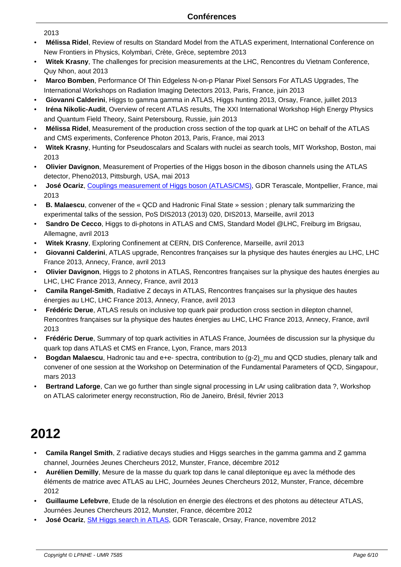- 2013
- • **Mélissa Ridel**, Review of results on Standard Model from the ATLAS experiment, International Conference on New Frontiers in Physics, Kolymbari, Crète, Grèce, septembre 2013
- • **Witek Krasny**, The challenges for precision measurements at the LHC, Rencontres du Vietnam Conference, Quy Nhon, aout 2013
- • **Marco Bomben**, Performance Of Thin Edgeless N-on-p Planar Pixel Sensors For ATLAS Upgrades, The International Workshops on Radiation Imaging Detectors 2013, Paris, France, juin 2013
- • **Giovanni Calderini**, Higgs to gamma gamma in ATLAS, Higgs hunting 2013, Orsay, France, juillet 2013
- • **Iréna Nikolic-Audit**, Overview of recent ATLAS results, The XXI International Workshop High Energy Physics and Quantum Field Theory, Saint Petersbourg, Russie, juin 2013
- • **Mélissa Ridel**, Measurement of the production cross section of the top quark at LHC on behalf of the ATLAS and CMS experiments, Conference Photon 2013, Paris, France, mai 2013
- • **Witek Krasny**, Hunting for Pseudoscalars and Scalars with nuclei as search tools, MIT Workshop, Boston, mai 2013
- • **Olivier Davignon**, Measurement of Properties of the Higgs boson in the diboson channels using the ATLAS detector, Pheno2013, Pittsburgh, USA, mai 2013
- • **José Ocariz**, Couplings measurement of Higgs boson (ATLAS/CMS), GDR Terascale, Montpellier, France, mai 2013
- • **B. Malaescu**, convener of the « QCD and Hadronic Final State » session ; plenary talk summarizing the experimental t[alks of the session, PoS DIS2013 \(2013\) 020, DIS2013,](https://indico.in2p3.fr/event/8276/session/2/contribution/5) Marseille, avril 2013
- • **Sandro De Cecco**, Higgs to di-photons in ATLAS and CMS, Standard Model @LHC, Freiburg im Brigsau, Allemagne, avril 2013
- • **Witek Krasny**, Exploring Confinement at CERN, DIS Conference, Marseille, avril 2013
- • **Giovanni Calderini**, ATLAS upgrade, Rencontres françaises sur la physique des hautes énergies au LHC, LHC France 2013, Annecy, France, avril 2013
- • **Olivier Davignon**, Higgs to 2 photons in ATLAS, Rencontres françaises sur la physique des hautes énergies au LHC, LHC France 2013, Annecy, France, avril 2013
- • **Camila Rangel-Smith**, Radiative Z decays in ATLAS, Rencontres françaises sur la physique des hautes énergies au LHC, LHC France 2013, Annecy, France, avril 2013
- • **Frédéric Derue**, ATLAS resuls on inclusive top quark pair production cross section in dilepton channel, Rencontres françaises sur la physique des hautes énergies au LHC, LHC France 2013, Annecy, France, avril 2013
- • **Frédéric Derue**, Summary of top quark activities in ATLAS France, Journées de discussion sur la physique du quark top dans ATLAS et CMS en France, Lyon, France, mars 2013
- **Bogdan Malaescu**, Hadronic tau and e+e- spectra, contribution to (g-2) mu and QCD studies, plenary talk and convener of one session at the Workshop on Determination of the Fundamental Parameters of QCD, Singapour, mars 2013
- • **Bertrand Laforge**, Can we go further than single signal processing in LAr using calibration data ?, Workshop on ATLAS calorimeter energy reconstruction, Rio de Janeiro, Brésil, février 2013

- • **Camila Rangel Smith**, Z radiative decays studies and Higgs searches in the gamma gamma and Z gamma channel, Journées Jeunes Chercheurs 2012, Munster, France, décembre 2012
- • **Aurélien Demilly**, Mesure de la masse du quark top dans le canal dileptonique eµ avec la méthode des éléments de matrice avec ATLAS au LHC, Journées Jeunes Chercheurs 2012, Munster, France, décembre 2012
- • **Guillaume Lefebvre**, Etude de la résolution en énergie des électrons et des photons au détecteur ATLAS, Journées Jeunes Chercheurs 2012, Munster, France, décembre 2012
- • **José Ocariz**, SM Higgs search in ATLAS, GDR Terascale, Orsay, France, novembre 2012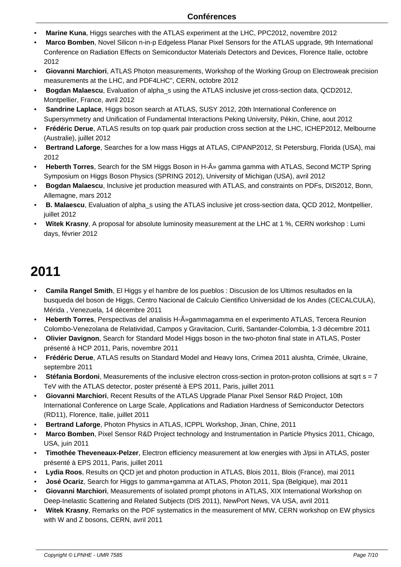- • **Marine Kuna**, Higgs searches with the ATLAS experiment at the LHC, PPC2012, novembre 2012
- • **Marco Bomben**, Novel Silicon n-in-p Edgeless Planar Pixel Sensors for the ATLAS upgrade, 9th International Conference on Radiation Effects on Semiconductor Materials Detectors and Devices, Florence Italie, octobre 2012
- • **Giovanni Marchiori**, ATLAS Photon measurements, Workshop of the Working Group on Electroweak precision measurements at the LHC, and PDF4LHC", CERN, octobre 2012
- • **Bogdan Malaescu**, Evaluation of alpha\_s using the ATLAS inclusive jet cross-section data, QCD2012, Montpellier, France, avril 2012
- • **Sandrine Laplace**, Higgs boson search at ATLAS, SUSY 2012, 20th International Conference on Supersymmetry and Unification of Fundamental Interactions Peking University, Pékin, Chine, aout 2012
- • **Frédéric Derue**, ATLAS results on top quark pair production cross section at the LHC, ICHEP2012, Melbourne (Australie), juillet 2012
- • **Bertrand Laforge**, Searches for a low mass Higgs at ATLAS, CIPANP2012, St Petersburg, Florida (USA), mai 2012
- Heberth Torres, Search for the SM Higgs Boson in H-» gamma gamma with ATLAS, Second MCTP Spring Symposium on Higgs Boson Physics (SPRING 2012), University of Michigan (USA), avril 2012
- • **Bogdan Malaescu**, Inclusive jet production measured with ATLAS, and constraints on PDFs, DIS2012, Bonn, Allemagne, mars 2012
- • **B. Malaescu**, Evaluation of alpha\_s using the ATLAS inclusive jet cross-section data, QCD 2012, Montpellier, juillet 2012
- • **Witek Krasny**, A proposal for absolute luminosity measurement at the LHC at 1 %, CERN workshop : Lumi days, février 2012

- • **Camila Rangel Smith**, El Higgs y el hambre de los pueblos : Discusion de los Ultimos resultados en la busqueda del boson de Higgs, Centro Nacional de Calculo Cientifico Universidad de los Andes (CECALCULA), Mérida , Venezuela, 14 décembre 2011
- **Heberth Torres**, Perspectivas del analisis H-»gammagamma en el experimento ATLAS, Tercera Reunion Colombo-Venezolana de Relatividad, Campos y Gravitacion, Curiti, Santander-Colombia, 1-3 décembre 2011
- • **Olivier Davignon**, Search for Standard Model Higgs boson in the two-photon final state in ATLAS, Poster présenté à HCP 2011, Paris, novembre 2011
- • **Frédéric Derue**, ATLAS results on Standard Model and Heavy Ions, Crimea 2011 alushta, Crimée, Ukraine, septembre 2011
- Stéfania Bordoni, Measurements of the inclusive electron cross-section in proton-proton collisions at sqrt s = 7 TeV with the ATLAS detector, poster présenté à EPS 2011, Paris, juillet 2011
- • **Giovanni Marchiori**, Recent Results of the ATLAS Upgrade Planar Pixel Sensor R&D Project, 10th International Conference on Large Scale, Applications and Radiation Hardness of Semiconductor Detectors (RD11), Florence, Italie, juillet 2011
- • **Bertrand Laforge**, Photon Physics in ATLAS, ICPPL Workshop, Jinan, Chine, 2011
- • **Marco Bomben**, Pixel Sensor R&D Project technology and Instrumentation in Particle Physics 2011, Chicago, USA, juin 2011
- • **Timothée Theveneaux-Pelzer**, Electron efficiency measurement at low energies with J/psi in ATLAS, poster présenté à EPS 2011, Paris, juillet 2011
- • **Lydia Roos**, Results on QCD jet and photon production in ATLAS, Blois 2011, Blois (France), mai 2011
- • **José Ocariz**, Search for Higgs to gamma+gamma at ATLAS, Photon 2011, Spa (Belgique), mai 2011
- • **Giovanni Marchiori**, Measurements of isolated prompt photons in ATLAS, XIX International Workshop on Deep-Inelastic Scattering and Related Subjects (DIS 2011), NewPort News, VA USA, avril 2011
- • **Witek Krasny**, Remarks on the PDF systematics in the measurement of MW, CERN workshop on EW physics with W and Z bosons, CERN, avril 2011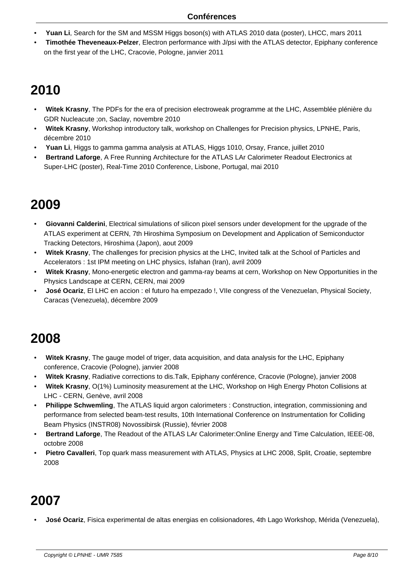- • **Yuan Li**, Search for the SM and MSSM Higgs boson(s) with ATLAS 2010 data (poster), LHCC, mars 2011
- • **Timothée Theveneaux-Pelzer**, Electron performance with J/psi with the ATLAS detector, Epiphany conference on the first year of the LHC, Cracovie, Pologne, janvier 2011

- • **Witek Krasny**, The PDFs for the era of precision electroweak programme at the LHC, Assemblée plénière du GDR Nucleacute ;on, Saclay, novembre 2010
- • **Witek Krasny**, Workshop introductory talk, workshop on Challenges for Precision physics, LPNHE, Paris, décembre 2010
- • **Yuan Li**, Higgs to gamma gamma analysis at ATLAS, Higgs 1010, Orsay, France, juillet 2010
- • **Bertrand Laforge**, A Free Running Architecture for the ATLAS LAr Calorimeter Readout Electronics at Super-LHC (poster), Real-Time 2010 Conference, Lisbone, Portugal, mai 2010

## **2009**

- • **Giovanni Calderini**, Electrical simulations of silicon pixel sensors under development for the upgrade of the ATLAS experiment at CERN, 7th Hiroshima Symposium on Development and Application of Semiconductor Tracking Detectors, Hiroshima (Japon), aout 2009
- • **Witek Krasny**, The challenges for precision physics at the LHC, Invited talk at the School of Particles and Accelerators : 1st IPM meeting on LHC physics, Isfahan (Iran), avril 2009
- • **Witek Krasny**, Mono-energetic electron and gamma-ray beams at cern, Workshop on New Opportunities in the Physics Landscape at CERN, CERN, mai 2009
- • **José Ocariz**, El LHC en accion : el futuro ha empezado !, VIIe congress of the Venezuelan, Physical Society, Caracas (Venezuela), décembre 2009

## **2008**

- • **Witek Krasny**, The gauge model of triger, data acquisition, and data analysis for the LHC, Epiphany conference, Cracovie (Pologne), janvier 2008
- • **Witek Krasny**, Radiative corrections to dis.Talk, Epiphany conférence, Cracovie (Pologne), janvier 2008
- • **Witek Krasny**, O(1%) Luminosity measurement at the LHC, Workshop on High Energy Photon Collisions at LHC - CERN, Genève, avril 2008
- • **Philippe Schwemling**, The ATLAS liquid argon calorimeters : Construction, integration, commissioning and performance from selected beam-test results, 10th International Conference on Instrumentation for Colliding Beam Physics (INSTR08) Novossibirsk (Russie), février 2008
- • **Bertrand Laforge**, The Readout of the ATLAS LAr Calorimeter:Online Energy and Time Calculation, IEEE-08, octobre 2008
- • **Pietro Cavalleri**, Top quark mass measurement with ATLAS, Physics at LHC 2008, Split, Croatie, septembre 2008

## **2007**

• **José Ocariz**, Fisica experimental de altas energias en colisionadores, 4th Lago Workshop, Mérida (Venezuela),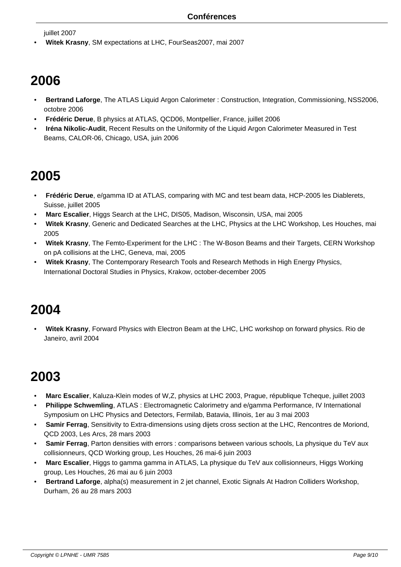juillet 2007

• **Witek Krasny**, SM expectations at LHC, FourSeas2007, mai 2007

#### **2006**

- • **Bertrand Laforge**, The ATLAS Liquid Argon Calorimeter : Construction, Integration, Commissioning, NSS2006, octobre 2006
- • **Frédéric Derue**, B physics at ATLAS, QCD06, Montpellier, France, juillet 2006
- • **Iréna Nikolic-Audit**, Recent Results on the Uniformity of the Liquid Argon Calorimeter Measured in Test Beams, CALOR-06, Chicago, USA, juin 2006

## **2005**

- • **Frédéric Derue**, e/gamma ID at ATLAS, comparing with MC and test beam data, HCP-2005 les Diablerets, Suisse, juillet 2005
- • **Marc Escalier**, Higgs Search at the LHC, DIS05, Madison, Wisconsin, USA, mai 2005
- • **Witek Krasny**, Generic and Dedicated Searches at the LHC, Physics at the LHC Workshop, Les Houches, mai 2005
- • **Witek Krasny**, The Femto-Experiment for the LHC : The W-Boson Beams and their Targets, CERN Workshop on pA collisions at the LHC, Geneva, mai, 2005
- • **Witek Krasny**, The Contemporary Research Tools and Research Methods in High Energy Physics, International Doctoral Studies in Physics, Krakow, october-december 2005

## **2004**

• **Witek Krasny**, Forward Physics with Electron Beam at the LHC, LHC workshop on forward physics. Rio de Janeiro, avril 2004

- • **Marc Escalier**, Kaluza-Klein modes of W,Z, physics at LHC 2003, Prague, république Tcheque, juillet 2003
- • **Philippe Schwemling**, ATLAS : Electromagnetic Calorimetry and e/gamma Performance, IV International Symposium on LHC Physics and Detectors, Fermilab, Batavia, Illinois, 1er au 3 mai 2003
- • **Samir Ferrag**, Sensitivity to Extra-dimensions using dijets cross section at the LHC, Rencontres de Moriond, QCD 2003, Les Arcs, 28 mars 2003
- • **Samir Ferrag**, Parton densities with errors : comparisons between various schools, La physique du TeV aux collisionneurs, QCD Working group, Les Houches, 26 mai-6 juin 2003
- • **Marc Escalier**, Higgs to gamma gamma in ATLAS, La physique du TeV aux collisionneurs, Higgs Working group, Les Houches, 26 mai au 6 juin 2003
- • **Bertrand Laforge**, alpha(s) measurement in 2 jet channel, Exotic Signals At Hadron Colliders Workshop, Durham, 26 au 28 mars 2003